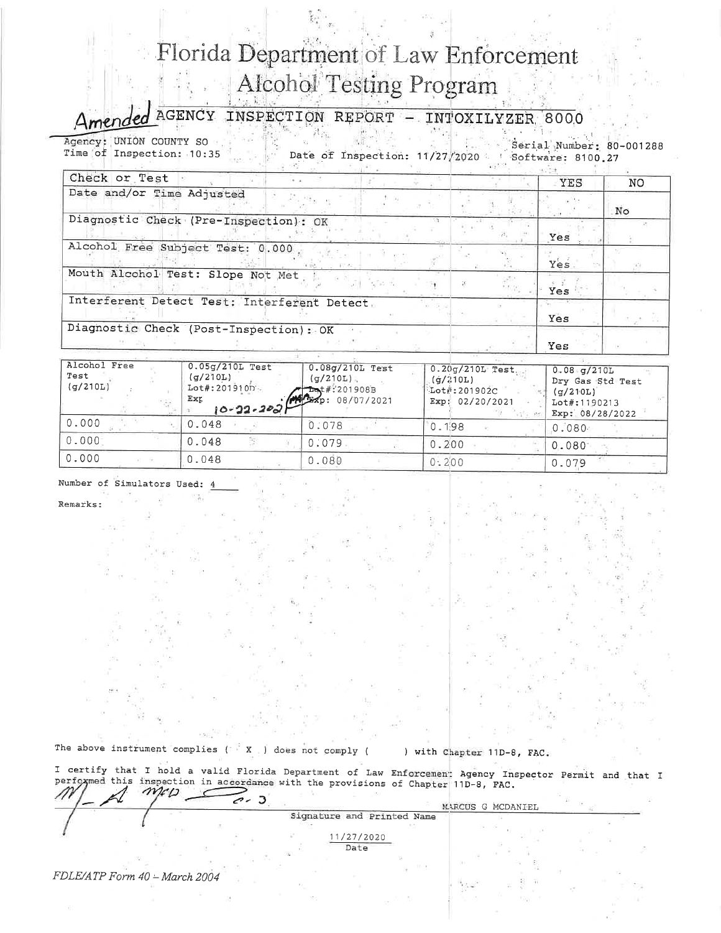## Florida Department of Law Enforcement **Alcohol Testing Program**

AGENCY INSPECTION REPORT - INTOXILYZER 8000

Agency: UNION COUNTY SO Serial Number: 80-001288 Time of Inspection: 10:35 Date of Inspection: 11/27/2020

Software: 8100.27  $\sim 100$ 

| Check or Test                                | YES  | NO |
|----------------------------------------------|------|----|
| Date and/or Time Adjusted                    |      | No |
| Diagnostic Check (Pre-Inspection): OK        | Yes  |    |
| Alcohol Free Subject Test: 0.000             | Yes. |    |
| Mouth Alcohol Test: Slope Not Met            | Yes. |    |
| Interferent Detect Test: Interferent Detect, | Yes  |    |
| Diagnostic Check (Post-Inspection): OK       | Yes  |    |

| Alcohol Free<br>Test<br>(q/210L) | $0.05g/210L$ Test<br>(q/210L)<br>Lot#: 2019100<br>$10-22-200$<br>Exr | 0.08g/210L Test<br>$(q/210L)$ .<br>$T_{B}t$ #: 201908B | $0.20q/210L$ Test.<br>(q/210L)<br>$Liot$ :201902C<br>Exp: 02/20/2021 | $0.08 - q/210L$<br>Dry Gas Std Test<br>(q/210L)<br>Lot#:1190213<br>Exp: 08/28/2022 |
|----------------------------------|----------------------------------------------------------------------|--------------------------------------------------------|----------------------------------------------------------------------|------------------------------------------------------------------------------------|
| 0.000                            | 0.048                                                                | 0:078                                                  | 0.198                                                                | .0.080 <sub>•</sub>                                                                |
| 0.000                            | 0.048                                                                | 0:079                                                  | 0.200                                                                | 0.080                                                                              |
| 0.000                            | 0.048                                                                | 0.080                                                  | 0.200                                                                | 0.079                                                                              |

Number of Simulators Used:

Remarks:

The above instrument complies ( X ) does not comply (

) with Chapter 11D-8, FAC.

I certify that I hold a valid Florida Department of Law Enforcement Agency Inspector Permit and that I performed this inspection in accordance with the provisions of Chapter 11D-8, FAC.  $\overline{\mathscr{O}}$  $\mathbf{D}$ MARCUS G MCDANIEI

|  |  | Signature and Printed Name | TERMINE O HODISTATION |  |
|--|--|----------------------------|-----------------------|--|
|  |  | 11/27/2020<br>Date         |                       |  |
|  |  | the property of the con-   |                       |  |

FDLE/ATP Form 40 - March 2004